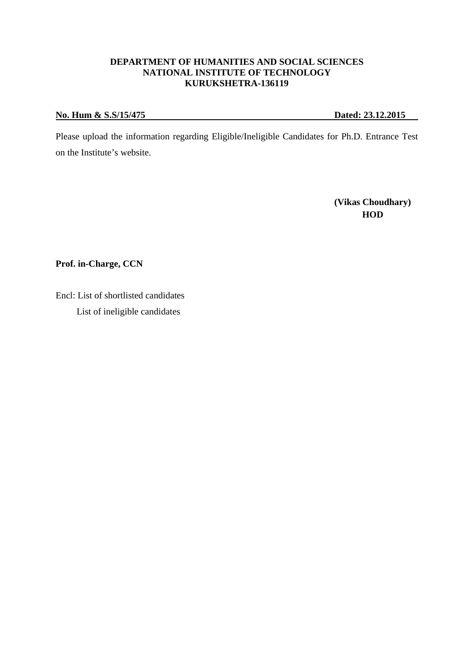# **DEPARTMENT OF HUMANITIES AND SOCIAL SCIENCES NATIONAL INSTITUTE OF TECHNOLOGY KURUKSHETRA-136119**

# **No. Hum & S.S/15/475 Dated: 23.12.2015**

Please upload the information regarding Eligible/Ineligible Candidates for Ph.D. Entrance Test on the Institute's website.

**(Vikas Choudhary) HOD** 

**Prof. in-Charge, CCN** 

Encl: List of shortlisted candidates List of ineligible candidates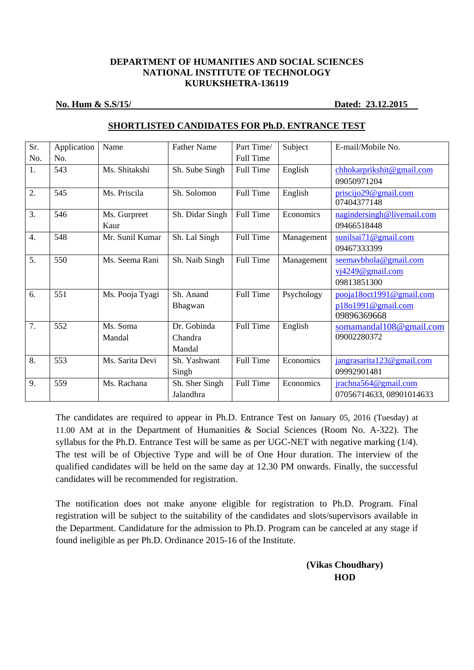# **DEPARTMENT OF HUMANITIES AND SOCIAL SCIENCES NATIONAL INSTITUTE OF TECHNOLOGY KURUKSHETRA-136119**

### **No. Hum & S.S/15/ Dated: 23.12.2015**

| Sr.              | Application | Name            | <b>Father Name</b> | Part Time/       | Subject    | E-mail/Mobile No.          |
|------------------|-------------|-----------------|--------------------|------------------|------------|----------------------------|
| No.              | No.         |                 |                    | <b>Full Time</b> |            |                            |
| 1.               | 543         | Ms. Shitakshi   | Sh. Sube Singh     | Full Time        | English    | chhokarprikshit@gmail.com  |
|                  |             |                 |                    |                  |            | 09050971204                |
| 2.               | 545         | Ms. Priscila    | Sh. Solomon        | <b>Full Time</b> | English    | priscijo29@gmail.com       |
|                  |             |                 |                    |                  |            | 07404377148                |
| $\overline{3}$ . | 546         | Ms. Gurpreet    | Sh. Didar Singh    | Full Time        | Economics  | nagindersingh@livemail.com |
|                  |             | Kaur            |                    |                  |            | 09466518448                |
| $\overline{4}$ . | 548         | Mr. Sunil Kumar | Sh. Lal Singh      | Full Time        | Management | sunilsai71@gmail.com       |
|                  |             |                 |                    |                  |            | 09467333399                |
| 5.               | 550         | Ms. Seema Rani  | Sh. Naib Singh     | Full Time        | Management | seemavbhola@gmail.com      |
|                  |             |                 |                    |                  |            | $vi4249@$ gmail.com        |
|                  |             |                 |                    |                  |            | 09813851300                |
| 6.               | 551         | Ms. Pooja Tyagi | Sh. Anand          | Full Time        | Psychology | pooja18oct1991@gmail.com   |
|                  |             |                 | Bhagwan            |                  |            | p18o1991@gmail.com         |
|                  |             |                 |                    |                  |            | 09896369668                |
| 7.               | 552         | Ms. Soma        | Dr. Gobinda        | Full Time        | English    | somamandal108@gmail.com    |
|                  |             | Mandal          | Chandra            |                  |            | 09002280372                |
|                  |             |                 | Mandal             |                  |            |                            |
| 8.               | 553         | Ms. Sarita Devi | Sh. Yashwant       | <b>Full Time</b> | Economics  | jangrasarita123@gmail.com  |
|                  |             |                 | Singh              |                  |            | 09992901481                |
| 9.               | 559         | Ms. Rachana     | Sh. Sher Singh     | Full Time        | Economics  | jrachna564@gmail.com       |
|                  |             |                 | Jalandhra          |                  |            | 07056714633, 08901014633   |

## **SHORTLISTED CANDIDATES FOR Ph.D. ENTRANCE TEST**

The candidates are required to appear in Ph.D. Entrance Test on January 05, 2016 (Tuesday) at 11.00 AM at in the Department of Humanities & Social Sciences (Room No. A-322). The syllabus for the Ph.D. Entrance Test will be same as per UGC-NET with negative marking (1/4). The test will be of Objective Type and will be of One Hour duration. The interview of the qualified candidates will be held on the same day at 12.30 PM onwards. Finally, the successful candidates will be recommended for registration.

The notification does not make anyone eligible for registration to Ph.D. Program. Final registration will be subject to the suitability of the candidates and slots/supervisors available in the Department. Candidature for the admission to Ph.D. Program can be canceled at any stage if found ineligible as per Ph.D. Ordinance 2015-16 of the Institute.

> **(Vikas Choudhary) HOD**